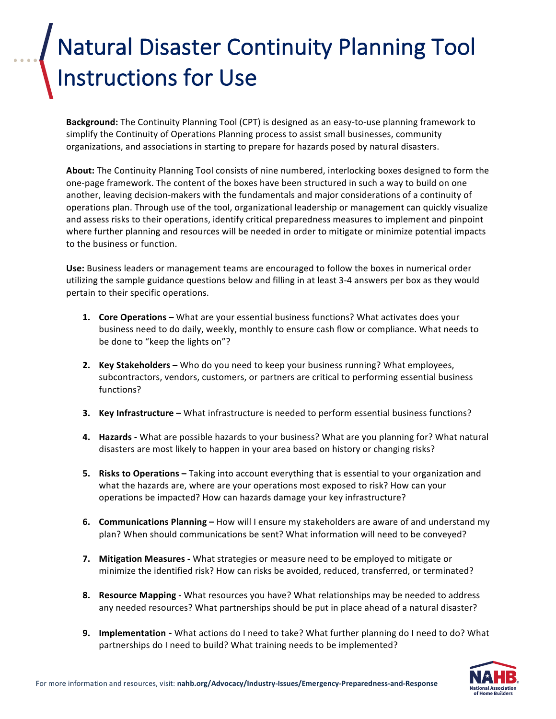## **Natural Disaster Continuity Planning Tool** Instructions for Use

**Background:** The Continuity Planning Tool (CPT) is designed as an easy-to-use planning framework to simplify the Continuity of Operations Planning process to assist small businesses, community organizations, and associations in starting to prepare for hazards posed by natural disasters.

About: The Continuity Planning Tool consists of nine numbered, interlocking boxes designed to form the one-page framework. The content of the boxes have been structured in such a way to build on one another, leaving decision-makers with the fundamentals and major considerations of a continuity of operations plan. Through use of the tool, organizational leadership or management can quickly visualize and assess risks to their operations, identify critical preparedness measures to implement and pinpoint where further planning and resources will be needed in order to mitigate or minimize potential impacts to the business or function.

Use: Business leaders or management teams are encouraged to follow the boxes in numerical order utilizing the sample guidance questions below and filling in at least 3-4 answers per box as they would pertain to their specific operations.

- **1. Core Operations –** What are your essential business functions? What activates does your business need to do daily, weekly, monthly to ensure cash flow or compliance. What needs to be done to "keep the lights on"?
- **2. Key Stakeholders –** Who do you need to keep your business running? What employees, subcontractors, vendors, customers, or partners are critical to performing essential business functions?
- **3.** Key Infrastructure What infrastructure is needed to perform essential business functions?
- **4. Hazards -** What are possible hazards to your business? What are you planning for? What natural disasters are most likely to happen in your area based on history or changing risks?
- **5.** Risks to Operations Taking into account everything that is essential to your organization and what the hazards are, where are your operations most exposed to risk? How can your operations be impacted? How can hazards damage your key infrastructure?
- **6. Communications Planning** How will I ensure my stakeholders are aware of and understand my plan? When should communications be sent? What information will need to be conveyed?
- **7.** Mitigation Measures What strategies or measure need to be employed to mitigate or minimize the identified risk? How can risks be avoided, reduced, transferred, or terminated?
- **8.** Resource Mapping What resources you have? What relationships may be needed to address any needed resources? What partnerships should be put in place ahead of a natural disaster?
- **9.** Implementation What actions do I need to take? What further planning do I need to do? What partnerships do I need to build? What training needs to be implemented?